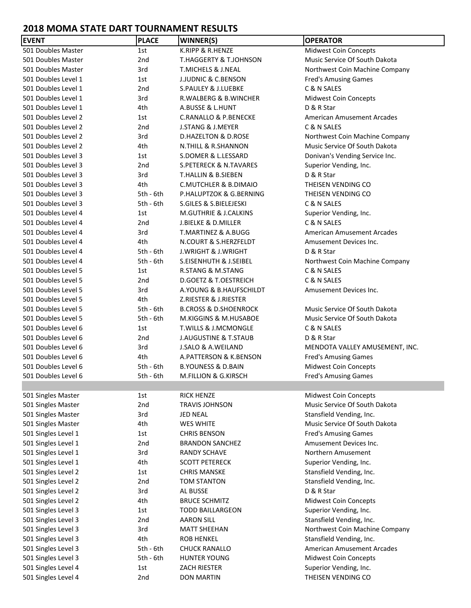## **MOMA STATE DART TOURNAMENT RESULTS**

| <b>EVENT</b>        | <b>PLACE</b>    | WINNER(S)                         | <b>OPERATOR</b>                   |
|---------------------|-----------------|-----------------------------------|-----------------------------------|
| 501 Doubles Master  | 1st             | K.RIPP & R.HENZE                  | <b>Midwest Coin Concepts</b>      |
| 501 Doubles Master  | 2nd             | <b>T.HAGGERTY &amp; T.JOHNSON</b> | Music Service Of South Dakota     |
| 501 Doubles Master  | 3rd             | <b>T.MICHELS &amp; J.NEAL</b>     | Northwest Coin Machine Company    |
| 501 Doubles Level 1 | 1st             | <b>J.JUDNIC &amp; C.BENSON</b>    | <b>Fred's Amusing Games</b>       |
| 501 Doubles Level 1 | 2nd             | S.PAULEY & J.LUEBKE               | C & N SALES                       |
| 501 Doubles Level 1 | 3rd             | R.WALBERG & B.WINCHER             | <b>Midwest Coin Concepts</b>      |
| 501 Doubles Level 1 | 4th             | A.BUSSE & L.HUNT                  | D & R Star                        |
| 501 Doubles Level 2 | 1st             | <b>C.RANALLO &amp; P.BENECKE</b>  | <b>American Amusement Arcades</b> |
| 501 Doubles Level 2 | 2 <sub>nd</sub> | <b>J.STANG &amp; J.MEYER</b>      | C & N SALES                       |
| 501 Doubles Level 2 | 3rd             | <b>D.HAZELTON &amp; D.ROSE</b>    | Northwest Coin Machine Company    |
| 501 Doubles Level 2 | 4th             | <b>N.THILL &amp; R.SHANNON</b>    | Music Service Of South Dakota     |
| 501 Doubles Level 3 | 1st             | S.DOMER & L.LESSARD               | Donivan's Vending Service Inc.    |
| 501 Doubles Level 3 | 2 <sub>nd</sub> | <b>S.PETERECK &amp; N.TAVARES</b> | Superior Vending, Inc.            |
| 501 Doubles Level 3 | 3rd             | T.HALLIN & B.SIEBEN               | D & R Star                        |
| 501 Doubles Level 3 | 4th             | <b>C.MUTCHLER &amp; B.DIMAIO</b>  | THEISEN VENDING CO                |
| 501 Doubles Level 3 | $5th - 6th$     | P.HALUPTZOK & G.BERNING           | THEISEN VENDING CO                |
| 501 Doubles Level 3 | 5th - 6th       | S.GILES & S.BIELEJESKI            | C & N SALES                       |
| 501 Doubles Level 4 | 1st             | M.GUTHRIE & J.CALKINS             | Superior Vending, Inc.            |
| 501 Doubles Level 4 | 2nd             | J.BIELKE & D.MILLER               | C & N SALES                       |
| 501 Doubles Level 4 | 3rd             | T.MARTINEZ & A.BUGG               | <b>American Amusement Arcades</b> |
| 501 Doubles Level 4 | 4th             | N.COURT & S.HERZFELDT             | Amusement Devices Inc.            |
| 501 Doubles Level 4 | 5th - 6th       | <b>J.WRIGHT &amp; J.WRIGHT</b>    | D & R Star                        |
| 501 Doubles Level 4 | 5th - 6th       | S.EISENHUTH & J.SEIBEL            | Northwest Coin Machine Company    |
| 501 Doubles Level 5 | 1st             | <b>R.STANG &amp; M.STANG</b>      | C & N SALES                       |
| 501 Doubles Level 5 | 2 <sub>nd</sub> | <b>D.GOETZ &amp; T.OESTREICH</b>  | C & N SALES                       |
| 501 Doubles Level 5 | 3rd             | A.YOUNG & B.HAUFSCHILDT           | Amusement Devices Inc.            |
| 501 Doubles Level 5 | 4th             | Z.RIESTER & J.RIESTER             |                                   |
| 501 Doubles Level 5 | 5th - 6th       | <b>B.CROSS &amp; D.SHOENROCK</b>  | Music Service Of South Dakota     |
| 501 Doubles Level 5 | 5th - 6th       | M.KIGGINS & M.HUSABOE             | Music Service Of South Dakota     |
| 501 Doubles Level 6 | 1st             | <b>T.WILLS &amp; J.MCMONGLE</b>   | C & N SALES                       |
| 501 Doubles Level 6 | 2nd             | <b>J.AUGUSTINE &amp; T.STAUB</b>  | D & R Star                        |
| 501 Doubles Level 6 | 3rd             | J.SALO & A.WEILAND                | MENDOTA VALLEY AMUSEMENT, INC.    |
| 501 Doubles Level 6 | 4th             | A.PATTERSON & K.BENSON            | <b>Fred's Amusing Games</b>       |
| 501 Doubles Level 6 | 5th - 6th       | <b>B.YOUNESS &amp; D.BAIN</b>     | <b>Midwest Coin Concepts</b>      |
| 501 Doubles Level 6 | 5th - 6th       | M.FILLION & G.KIRSCH              | <b>Fred's Amusing Games</b>       |
| 501 Singles Master  | 1st             | <b>RICK HENZE</b>                 | <b>Midwest Coin Concepts</b>      |
| 501 Singles Master  | 2nd             | <b>TRAVIS JOHNSON</b>             | Music Service Of South Dakota     |
| 501 Singles Master  | 3rd             | <b>JED NEAL</b>                   | Stansfield Vending, Inc.          |
| 501 Singles Master  | 4th             | <b>WES WHITE</b>                  | Music Service Of South Dakota     |
| 501 Singles Level 1 | 1st             | <b>CHRIS BENSON</b>               | <b>Fred's Amusing Games</b>       |
| 501 Singles Level 1 | 2nd             | <b>BRANDON SANCHEZ</b>            | Amusement Devices Inc.            |
| 501 Singles Level 1 | 3rd             | <b>RANDY SCHAVE</b>               | Northern Amusement                |
| 501 Singles Level 1 | 4th             | <b>SCOTT PETERECK</b>             | Superior Vending, Inc.            |
| 501 Singles Level 2 | 1st             | <b>CHRIS MANSKE</b>               | Stansfield Vending, Inc.          |
| 501 Singles Level 2 | 2nd             | <b>TOM STANTON</b>                | Stansfield Vending, Inc.          |
| 501 Singles Level 2 | 3rd             | AL BUSSE                          | D & R Star                        |
| 501 Singles Level 2 | 4th             | <b>BRUCE SCHMITZ</b>              | <b>Midwest Coin Concepts</b>      |
| 501 Singles Level 3 | 1st             | <b>TODD BAILLARGEON</b>           | Superior Vending, Inc.            |
| 501 Singles Level 3 | 2nd             | <b>AARON SILL</b>                 | Stansfield Vending, Inc.          |
| 501 Singles Level 3 | 3rd             | <b>MATT SHEEHAN</b>               | Northwest Coin Machine Company    |
| 501 Singles Level 3 | 4th             | <b>ROB HENKEL</b>                 | Stansfield Vending, Inc.          |
| 501 Singles Level 3 | 5th - 6th       | <b>CHUCK RANALLO</b>              | American Amusement Arcades        |
| 501 Singles Level 3 | 5th - 6th       | <b>HUNTER YOUNG</b>               | <b>Midwest Coin Concepts</b>      |
| 501 Singles Level 4 | 1st             | <b>ZACH RIESTER</b>               | Superior Vending, Inc.            |
| 501 Singles Level 4 | 2nd             | <b>DON MARTIN</b>                 | THEISEN VENDING CO                |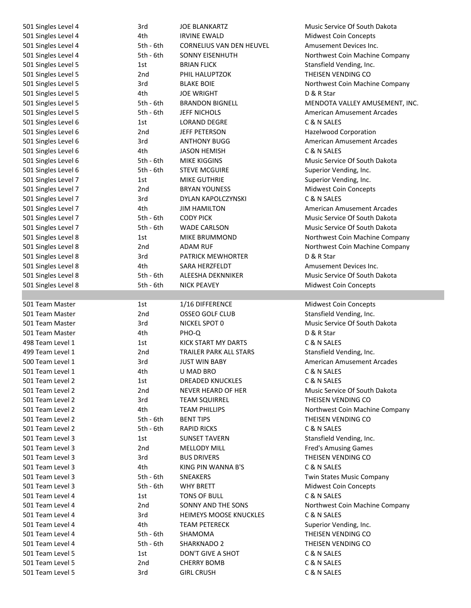| 501 Singles Level 4 | 3rd        | <b>JOE BLANKARTZ</b>            | Music Service Of South Dakota                 |
|---------------------|------------|---------------------------------|-----------------------------------------------|
| 501 Singles Level 4 | 4th        | <b>IRVINE EWALD</b>             | <b>Midwest Coin Concepts</b>                  |
| 501 Singles Level 4 | 5th - 6th  | <b>CORNELIUS VAN DEN HEUVEL</b> | Amusement Devices Inc.                        |
| 501 Singles Level 4 | 5th - 6th  | <b>SONNY EISENHUTH</b>          | Northwest Coin Machine Company                |
| 501 Singles Level 5 | 1st        | <b>BRIAN FLICK</b>              | Stansfield Vending, Inc.                      |
| 501 Singles Level 5 | 2nd        | PHIL HALUPTZOK                  | THEISEN VENDING CO                            |
| 501 Singles Level 5 | 3rd        | <b>BLAKE BOIE</b>               | Northwest Coin Machine Company                |
| 501 Singles Level 5 | 4th        | <b>JOE WRIGHT</b>               | D & R Star                                    |
| 501 Singles Level 5 | 5th - 6th  | <b>BRANDON BIGNELL</b>          | MENDOTA VALLEY AMUSEMENT, INC.                |
| 501 Singles Level 5 | 5th - 6th  | <b>JEFF NICHOLS</b>             | American Amusement Arcades                    |
| 501 Singles Level 6 | 1st        | <b>LORAND DEGRE</b>             | C & N SALES                                   |
| 501 Singles Level 6 | 2nd        | JEFF PETERSON                   | <b>Hazelwood Corporation</b>                  |
| 501 Singles Level 6 | 3rd        | <b>ANTHONY BUGG</b>             | <b>American Amusement Arcades</b>             |
| 501 Singles Level 6 | 4th        | <b>JASON HEMISH</b>             | C & N SALES                                   |
| 501 Singles Level 6 | 5th - 6th  | <b>MIKE KIGGINS</b>             | Music Service Of South Dakota                 |
| 501 Singles Level 6 | 5th - 6th  | <b>STEVE MCGUIRE</b>            | Superior Vending, Inc.                        |
| 501 Singles Level 7 | 1st        | <b>MIKE GUTHRIE</b>             | Superior Vending, Inc.                        |
| 501 Singles Level 7 | 2nd        | <b>BRYAN YOUNESS</b>            | <b>Midwest Coin Concepts</b>                  |
| 501 Singles Level 7 | 3rd        | DYLAN KAPOLCZYNSKI              | C & N SALES                                   |
| 501 Singles Level 7 | 4th        | <b>JIM HAMILTON</b>             | <b>American Amusement Arcades</b>             |
| 501 Singles Level 7 | 5th - 6th  | <b>CODY PICK</b>                | Music Service Of South Dakota                 |
| 501 Singles Level 7 | 5th - 6th  | <b>WADE CARLSON</b>             | Music Service Of South Dakota                 |
| 501 Singles Level 8 | 1st        | MIKE BRUMMOND                   | Northwest Coin Machine Company                |
| 501 Singles Level 8 | 2nd        | <b>ADAM RUF</b>                 | Northwest Coin Machine Company                |
| 501 Singles Level 8 | 3rd        | PATRICK MEWHORTER               | D & R Star                                    |
| 501 Singles Level 8 | 4th        | SARA HERZFELDT                  | Amusement Devices Inc.                        |
| 501 Singles Level 8 | 5th - 6th  | ALEESHA DEKNNIKER               | Music Service Of South Dakota                 |
| 501 Singles Level 8 | 5th - 6th  | <b>NICK PEAVEY</b>              | <b>Midwest Coin Concepts</b>                  |
|                     |            |                                 |                                               |
| 501 Team Master     | 1st        | 1/16 DIFFERENCE                 | <b>Midwest Coin Concepts</b>                  |
| 501 Team Master     | 2nd        | <b>OSSEO GOLF CLUB</b>          | Stansfield Vending, Inc.                      |
| 501 Team Master     | 3rd        | NICKEL SPOT 0                   | Music Service Of South Dakota                 |
| 501 Team Master     | 4th        | PHO-Q                           | D & R Star                                    |
| 498 Team Level 1    | 1st        | <b>KICK START MY DARTS</b>      | C & N SALES                                   |
| 499 Team Level 1    | 2nd        | TRAILER PARK ALL STARS          | Stansfield Vending, Inc.                      |
| 500 Team Level 1    | 3rd        | <b>JUST WIN BABY</b>            | <b>American Amusement Arcades</b>             |
| 501 Team Level 1    | 4th        | <b>U MAD BRO</b>                | C & N SALES                                   |
| 501 Team Level 2    | 1st        | <b>DREADED KNUCKLES</b>         | C & N SALES                                   |
| 501 Team Level 2    | 2nd        | <b>NEVER HEARD OF HER</b>       | Music Service Of South Dakota                 |
| 501 Team Level 2    | 3rd        | <b>TEAM SQUIRREL</b>            | THEISEN VENDING CO                            |
| 501 Team Level 2    | 4th        | <b>TEAM PHILLIPS</b>            | Northwest Coin Machine Company                |
| 501 Team Level 2    | 5th - 6th  | <b>BENT TIPS</b>                | THEISEN VENDING CO                            |
| 501 Team Level 2    | 5th - 6th  | <b>RAPID RICKS</b>              | C & N SALES                                   |
| 501 Team Level 3    | 1st        | <b>SUNSET TAVERN</b>            | Stansfield Vending, Inc.                      |
| 501 Team Level 3    | 2nd        | <b>MELLODY MILL</b>             | <b>Fred's Amusing Games</b>                   |
| 501 Team Level 3    | 3rd        | <b>BUS DRIVERS</b>              | THEISEN VENDING CO                            |
| 501 Team Level 3    | 4th        | KING PIN WANNA B'S              | C & N SALES                                   |
| 501 Team Level 3    | 5th - 6th  | <b>SNEAKERS</b>                 | <b>Twin States Music Company</b>              |
| 501 Team Level 3    | 5th - 6th  | <b>WHY BRETT</b>                | <b>Midwest Coin Concepts</b>                  |
| 501 Team Level 4    | 1st        | <b>TONS OF BULL</b>             | C & N SALES                                   |
| 501 Team Level 4    |            | SONNY AND THE SONS              |                                               |
| 501 Team Level 4    | 2nd<br>3rd | <b>HEIMEYS MOOSE KNUCKLES</b>   | Northwest Coin Machine Company<br>C & N SALES |
| 501 Team Level 4    | 4th        | <b>TEAM PETERECK</b>            |                                               |
|                     |            |                                 | Superior Vending, Inc.                        |
| 501 Team Level 4    | 5th - 6th  | SHAMOMA                         | THEISEN VENDING CO<br>THEISEN VENDING CO      |
| 501 Team Level 4    | 5th - 6th  | SHARKNADO 2                     |                                               |
| 501 Team Level 5    | 1st        | DON'T GIVE A SHOT               | C & N SALES                                   |
| 501 Team Level 5    | 2nd        | <b>CHERRY BOMB</b>              | C & N SALES                                   |
| 501 Team Level 5    | 3rd        | <b>GIRL CRUSH</b>               | C & N SALES                                   |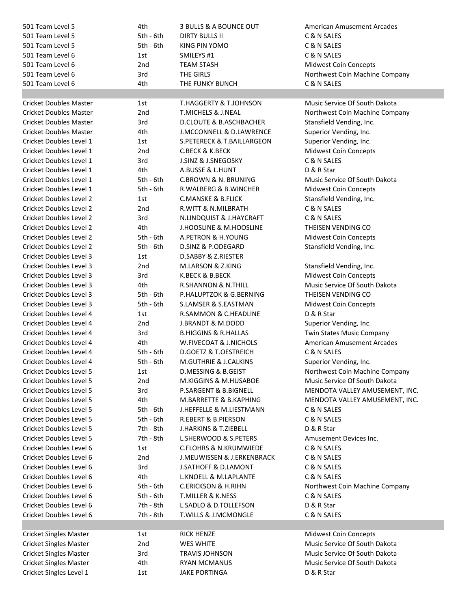| 501 Team Level 5               | 4th         | 3 BULLS & A BOUNCE OUT              | <b>American Amusement Arcades</b> |
|--------------------------------|-------------|-------------------------------------|-----------------------------------|
| 501 Team Level 5               | 5th - 6th   | <b>DIRTY BULLS II</b>               | C & N SALES                       |
| 501 Team Level 5               | 5th - 6th   | KING PIN YOMO                       | C & N SALES                       |
| 501 Team Level 6               | 1st         | SMILEYS #1                          | C & N SALES                       |
| 501 Team Level 6               | 2nd         | <b>TEAM STASH</b>                   | <b>Midwest Coin Concepts</b>      |
| 501 Team Level 6               | 3rd         | THE GIRLS                           | Northwest Coin Machine Company    |
| 501 Team Level 6               | 4th         | THE FUNKY BUNCH                     | C & N SALES                       |
|                                |             |                                     |                                   |
| <b>Cricket Doubles Master</b>  | 1st         | <b>T.HAGGERTY &amp; T.JOHNSON</b>   | Music Service Of South Dakota     |
| <b>Cricket Doubles Master</b>  | 2nd         | <b>T.MICHELS &amp; J.NEAL</b>       | Northwest Coin Machine Company    |
| <b>Cricket Doubles Master</b>  | 3rd         | <b>D.CLOUTE &amp; B.ASCHBACHER</b>  | Stansfield Vending, Inc.          |
| Cricket Doubles Master         | 4th         | <b>J.MCCONNELL &amp; D.LAWRENCE</b> | Superior Vending, Inc.            |
| Cricket Doubles Level 1        | 1st         | S.PETERECK & T.BAILLARGEON          | Superior Vending, Inc.            |
| Cricket Doubles Level 1        | 2nd         | <b>C.BECK &amp; K.BECK</b>          | <b>Midwest Coin Concepts</b>      |
| Cricket Doubles Level 1        | 3rd         | J.SINZ & J.SNEGOSKY                 | C & N SALES                       |
| Cricket Doubles Level 1        | 4th         | A.BUSSE & L.HUNT                    | D & R Star                        |
| Cricket Doubles Level 1        | 5th - 6th   | C.BROWN & N. BRUNING                | Music Service Of South Dakota     |
| Cricket Doubles Level 1        | 5th - 6th   | R.WALBERG & B.WINCHER               | <b>Midwest Coin Concepts</b>      |
| Cricket Doubles Level 2        | 1st         | <b>C.MANSKE &amp; B.FLICK</b>       | Stansfield Vending, Inc.          |
| Cricket Doubles Level 2        | 2nd         | <b>R.WITT &amp; N.MILBRATH</b>      | C & N SALES                       |
| Cricket Doubles Level 2        | 3rd         | N.LINDQUIST & J.HAYCRAFT            | C & N SALES                       |
| Cricket Doubles Level 2        | 4th         | <b>J.HOOSLINE &amp; M.HOOSLINE</b>  | THEISEN VENDING CO                |
| Cricket Doubles Level 2        | 5th - 6th   | A.PETRON & H.YOUNG                  | <b>Midwest Coin Concepts</b>      |
| <b>Cricket Doubles Level 2</b> | 5th - 6th   | D.SINZ & P.ODEGARD                  | Stansfield Vending, Inc.          |
| Cricket Doubles Level 3        | 1st         | D.SABBY & Z.RIESTER                 |                                   |
| Cricket Doubles Level 3        | 2nd         | M.LARSON & Z.KING                   | Stansfield Vending, Inc.          |
| <b>Cricket Doubles Level 3</b> | 3rd         | K.BECK & B.BECK                     | <b>Midwest Coin Concepts</b>      |
| Cricket Doubles Level 3        | 4th         | <b>R.SHANNON &amp; N.THILL</b>      | Music Service Of South Dakota     |
| Cricket Doubles Level 3        | 5th - 6th   | P.HALUPTZOK & G.BERNING             | THEISEN VENDING CO                |
| <b>Cricket Doubles Level 3</b> | 5th - 6th   | S.LAMSER & S.EASTMAN                | <b>Midwest Coin Concepts</b>      |
| Cricket Doubles Level 4        | 1st         | R.SAMMON & C.HEADLINE               | D & R Star                        |
| Cricket Doubles Level 4        | 2nd         | <b>J.BRANDT &amp; M.DODD</b>        | Superior Vending, Inc.            |
| Cricket Doubles Level 4        | 3rd         | <b>B.HIGGINS &amp; R.HALLAS</b>     | Twin States Music Company         |
| Cricket Doubles Level 4        | 4th         | W.FIVECOAT & J.NICHOLS              | American Amusement Arcades        |
| Cricket Doubles Level 4        | $5th - 6th$ | <b>D.GOETZ &amp; T.OESTREICH</b>    | C & N SALES                       |
| Cricket Doubles Level 4        | 5th - 6th   | M.GUTHRIE & J.CALKINS               | Superior Vending, Inc.            |
| Cricket Doubles Level 5        | 1st         | D.MESSING & B.GEIST                 | Northwest Coin Machine Company    |
| <b>Cricket Doubles Level 5</b> | 2nd         | M.KIGGINS & M.HUSABOE               | Music Service Of South Dakota     |
| Cricket Doubles Level 5        | 3rd         | P.SARGENT & B.BIGNELL               | MENDOTA VALLEY AMUSEMENT, INC.    |
| Cricket Doubles Level 5        | 4th         | M.BARRETTE & B.KAPHING              | MENDOTA VALLEY AMUSEMENT, INC.    |
| Cricket Doubles Level 5        | 5th - 6th   | J.HEFFELLE & M.LIESTMANN            | C & N SALES                       |
| Cricket Doubles Level 5        | 5th - 6th   | <b>R.EBERT &amp; B.PIERSON</b>      | C & N SALES                       |
| Cricket Doubles Level 5        | 7th - 8th   | <b>J.HARKINS &amp; T.ZIEBELL</b>    | D & R Star                        |
| Cricket Doubles Level 5        | 7th - 8th   | L.SHERWOOD & S.PETERS               | Amusement Devices Inc.            |
| Cricket Doubles Level 6        | 1st         | <b>C.FLOHRS &amp; N.KRUMWIEDE</b>   | C & N SALES                       |
| Cricket Doubles Level 6        | 2nd         | J.MEUWISSEN & J.ERKENBRACK          | C & N SALES                       |
| Cricket Doubles Level 6        | 3rd         | <b>J.SATHOFF &amp; D.LAMONT</b>     | C & N SALES                       |
| Cricket Doubles Level 6        | 4th         | L.KNOELL & M.LAPLANTE               | C & N SALES                       |
| Cricket Doubles Level 6        | 5th - 6th   | <b>C.ERICKSON &amp; H.RIHN</b>      | Northwest Coin Machine Company    |
| Cricket Doubles Level 6        | 5th - 6th   | T.MILLER & K.NESS                   | C & N SALES                       |
| Cricket Doubles Level 6        | 7th - 8th   | L.SADLO & D.TOLLEFSON               | D & R Star                        |
| Cricket Doubles Level 6        | 7th - 8th   | <b>T.WILLS &amp; J.MCMONGLE</b>     | C & N SALES                       |
|                                |             |                                     |                                   |
| <b>Cricket Singles Master</b>  | 1st         | <b>RICK HENZE</b>                   | <b>Midwest Coin Concepts</b>      |
| <b>Cricket Singles Master</b>  | 2nd         | <b>WES WHITE</b>                    | Music Service Of South Dakota     |
| <b>Cricket Singles Master</b>  | 3rd         | <b>TRAVIS JOHNSON</b>               | Music Service Of South Dakota     |
| <b>Cricket Singles Master</b>  | 4th         | <b>RYAN MCMANUS</b>                 | Music Service Of South Dakota     |
| Cricket Singles Level 1        | 1st         | <b>JAKE PORTINGA</b>                | D & R Star                        |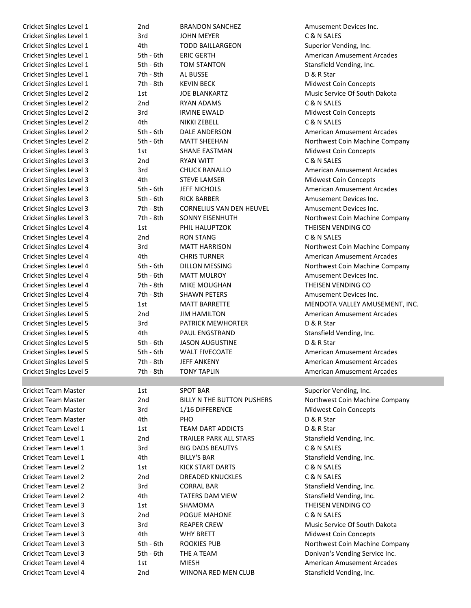| Cricket Singles Level 1                      | 2nd         | <b>BRANDON SANCHEZ</b>              | Amusement Devices Inc.                                 |
|----------------------------------------------|-------------|-------------------------------------|--------------------------------------------------------|
| Cricket Singles Level 1                      | 3rd         | <b>JOHN MEYER</b>                   | C & N SALES                                            |
| Cricket Singles Level 1                      | 4th         | <b>TODD BAILLARGEON</b>             | Superior Vending, Inc.                                 |
| Cricket Singles Level 1                      | 5th - 6th   | <b>ERIC GERTH</b>                   | American Amusement Arcades                             |
| Cricket Singles Level 1                      | 5th - 6th   | <b>TOM STANTON</b>                  | Stansfield Vending, Inc.                               |
| Cricket Singles Level 1                      | 7th - 8th   | <b>AL BUSSE</b>                     | D & R Star                                             |
| Cricket Singles Level 1                      | 7th - 8th   | <b>KEVIN BECK</b>                   | <b>Midwest Coin Concepts</b>                           |
| Cricket Singles Level 2                      | 1st         | <b>JOE BLANKARTZ</b>                | Music Service Of South Dakota                          |
| Cricket Singles Level 2                      | 2nd         | <b>RYAN ADAMS</b>                   | C & N SALES                                            |
| Cricket Singles Level 2                      | 3rd         | <b>IRVINE EWALD</b>                 | <b>Midwest Coin Concepts</b>                           |
| Cricket Singles Level 2                      | 4th         | NIKKI ZEBELL                        | C & N SALES                                            |
| Cricket Singles Level 2                      | $5th - 6th$ | <b>DALE ANDERSON</b>                | <b>American Amusement Arcades</b>                      |
| Cricket Singles Level 2                      | 5th - 6th   | <b>MATT SHEEHAN</b>                 | Northwest Coin Machine Company                         |
| Cricket Singles Level 3                      | 1st         | <b>SHANE EASTMAN</b>                | <b>Midwest Coin Concepts</b>                           |
| Cricket Singles Level 3                      | 2nd         | <b>RYAN WITT</b>                    | C & N SALES                                            |
| Cricket Singles Level 3                      | 3rd         | <b>CHUCK RANALLO</b>                | American Amusement Arcades                             |
| Cricket Singles Level 3                      | 4th         | <b>STEVE LAMSER</b>                 | <b>Midwest Coin Concepts</b>                           |
| Cricket Singles Level 3                      | $5th - 6th$ | <b>JEFF NICHOLS</b>                 | <b>American Amusement Arcades</b>                      |
| Cricket Singles Level 3                      | $5th - 6th$ | <b>RICK BARBER</b>                  | Amusement Devices Inc.                                 |
| Cricket Singles Level 3                      | 7th - 8th   | CORNELIUS VAN DEN HEUVEL            | Amusement Devices Inc.                                 |
| Cricket Singles Level 3                      | 7th - 8th   | <b>SONNY EISENHUTH</b>              | Northwest Coin Machine Company                         |
| Cricket Singles Level 4                      | 1st         | PHIL HALUPTZOK                      | THEISEN VENDING CO                                     |
| Cricket Singles Level 4                      | 2nd         | <b>RON STANG</b>                    | C & N SALES                                            |
| Cricket Singles Level 4                      | 3rd         | <b>MATT HARRISON</b>                | Northwest Coin Machine Company                         |
| Cricket Singles Level 4                      | 4th         | <b>CHRIS TURNER</b>                 | <b>American Amusement Arcades</b>                      |
| Cricket Singles Level 4                      | 5th - 6th   | DILLON MESSING                      | Northwest Coin Machine Company                         |
| Cricket Singles Level 4                      | 5th - 6th   | <b>MATT MULROY</b>                  | Amusement Devices Inc.                                 |
| Cricket Singles Level 4                      | 7th - 8th   | MIKE MOUGHAN                        | THEISEN VENDING CO                                     |
| Cricket Singles Level 4                      | 7th - 8th   | <b>SHAWN PETERS</b>                 | Amusement Devices Inc.                                 |
| Cricket Singles Level 5                      | 1st         | <b>MATT BARRETTE</b>                | MENDOTA VALLEY AMUSEMENT, INC.                         |
| Cricket Singles Level 5                      | 2nd         | <b>JIM HAMILTON</b>                 | American Amusement Arcades                             |
| Cricket Singles Level 5                      | 3rd         | <b>PATRICK MEWHORTER</b>            | D & R Star                                             |
| Cricket Singles Level 5                      | 4th         | PAUL ENGSTRAND                      | Stansfield Vending, Inc.                               |
| Cricket Singles Level 5                      | 5th - 6th   | <b>JASON AUGUSTINE</b>              | D & R Star                                             |
| Cricket Singles Level 5                      | 5th - 6th   | <b>WALT FIVECOATE</b>               | American Amusement Arcades                             |
| Cricket Singles Level 5                      | 7th - 8th   | <b>JEFF ANKENY</b>                  | American Amusement Arcades                             |
| Cricket Singles Level 5                      | 7th - 8th   | <b>TONY TAPLIN</b>                  | American Amusement Arcades                             |
|                                              |             |                                     |                                                        |
| <b>Cricket Team Master</b>                   | 1st         | <b>SPOT BAR</b>                     | Superior Vending, Inc.                                 |
| Cricket Team Master                          | 2nd         | BILLY N THE BUTTON PUSHERS          | Northwest Coin Machine Company                         |
| <b>Cricket Team Master</b>                   | 3rd         | 1/16 DIFFERENCE                     |                                                        |
| Cricket Team Master                          | 4th         | <b>PHO</b>                          | <b>Midwest Coin Concepts</b><br>D & R Star             |
| Cricket Team Level 1                         |             | <b>TEAM DART ADDICTS</b>            | D & R Star                                             |
| Cricket Team Level 1                         | 1st<br>2nd  | <b>TRAILER PARK ALL STARS</b>       |                                                        |
| Cricket Team Level 1                         |             | <b>BIG DADS BEAUTYS</b>             | Stansfield Vending, Inc.<br>C & N SALES                |
|                                              | 3rd         |                                     |                                                        |
| Cricket Team Level 1                         | 4th         | <b>BILLY'S BAR</b>                  | Stansfield Vending, Inc.                               |
| Cricket Team Level 2                         | 1st         | <b>KICK START DARTS</b>             | C & N SALES                                            |
| Cricket Team Level 2                         | 2nd         | <b>DREADED KNUCKLES</b>             | C & N SALES                                            |
| Cricket Team Level 2                         | 3rd         | <b>CORRAL BAR</b>                   | Stansfield Vending, Inc.                               |
| Cricket Team Level 2                         | 4th         | <b>TATERS DAM VIEW</b>              | Stansfield Vending, Inc.                               |
| Cricket Team Level 3                         | 1st         | SHAMOMA                             | THEISEN VENDING CO                                     |
| Cricket Team Level 3                         | 2nd         | POGUE MAHONE                        | C & N SALES                                            |
| Cricket Team Level 3                         | 3rd         | <b>REAPER CREW</b>                  | Music Service Of South Dakota                          |
| Cricket Team Level 3                         |             |                                     |                                                        |
|                                              | 4th         | <b>WHY BRETT</b>                    | <b>Midwest Coin Concepts</b>                           |
| Cricket Team Level 3                         | 5th - 6th   | <b>ROOKIES PUB</b>                  | Northwest Coin Machine Company                         |
| Cricket Team Level 3                         | 5th - 6th   | THE A TEAM                          | Donivan's Vending Service Inc.                         |
| Cricket Team Level 4<br>Cricket Team Level 4 | 1st<br>2nd  | <b>MIESH</b><br>WINONA RED MEN CLUB | American Amusement Arcades<br>Stansfield Vending, Inc. |